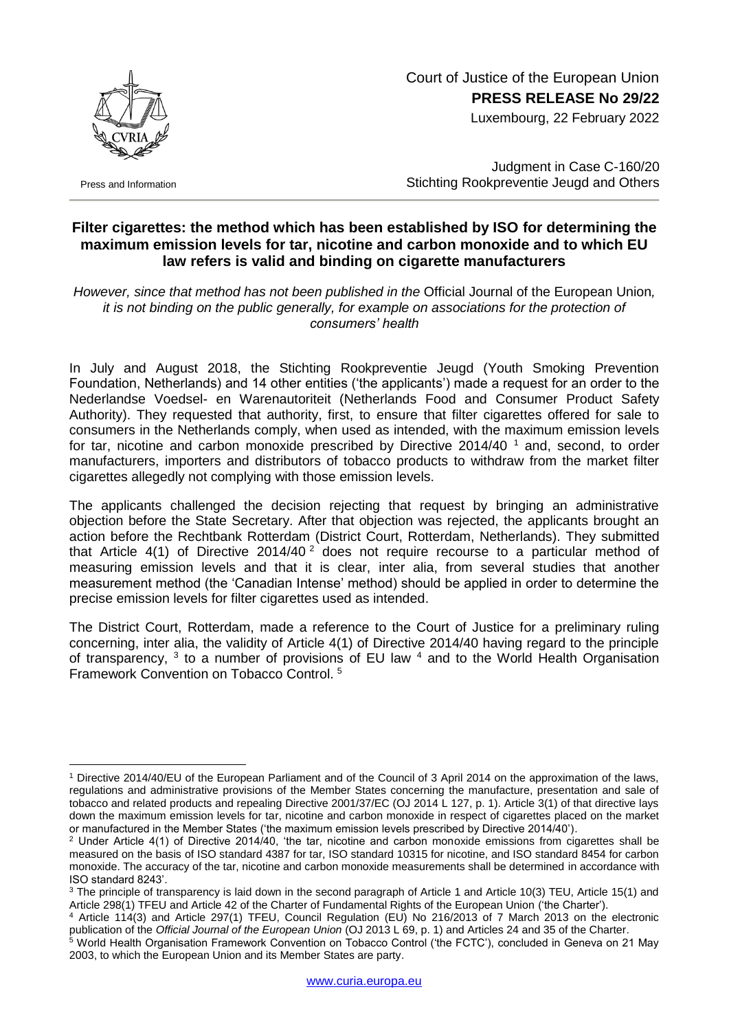Court of Justice of the European Union **PRESS RELEASE No 29/22**

Luxembourg, 22 February 2022



Press and Information

1

Judgment in Case C-160/20 Stichting Rookpreventie Jeugd and Others

## **Filter cigarettes: the method which has been established by ISO for determining the maximum emission levels for tar, nicotine and carbon monoxide and to which EU law refers is valid and binding on cigarette manufacturers**

*However, since that method has not been published in the* Official Journal of the European Union*, it is not binding on the public generally, for example on associations for the protection of consumers' health*

In July and August 2018, the Stichting Rookpreventie Jeugd (Youth Smoking Prevention Foundation, Netherlands) and 14 other entities ('the applicants') made a request for an order to the Nederlandse Voedsel- en Warenautoriteit (Netherlands Food and Consumer Product Safety Authority). They requested that authority, first, to ensure that filter cigarettes offered for sale to consumers in the Netherlands comply, when used as intended, with the maximum emission levels for tar, nicotine and carbon monoxide prescribed by Directive  $2014/40^{-1}$  and, second, to order manufacturers, importers and distributors of tobacco products to withdraw from the market filter cigarettes allegedly not complying with those emission levels.

The applicants challenged the decision rejecting that request by bringing an administrative objection before the State Secretary. After that objection was rejected, the applicants brought an action before the Rechtbank Rotterdam (District Court, Rotterdam, Netherlands). They submitted that Article 4(1) of Directive 2014/40<sup>2</sup> does not require recourse to a particular method of measuring emission levels and that it is clear, inter alia, from several studies that another measurement method (the 'Canadian Intense' method) should be applied in order to determine the precise emission levels for filter cigarettes used as intended.

The District Court, Rotterdam, made a reference to the Court of Justice for a preliminary ruling concerning, inter alia, the validity of Article 4(1) of Directive 2014/40 having regard to the principle of transparency,  $3$  to a number of provisions of EU law  $4$  and to the World Health Organisation Framework Convention on Tobacco Control. <sup>5</sup>

<sup>1</sup> Directive 2014/40/EU of the European Parliament and of the Council of 3 April 2014 on the approximation of the laws, regulations and administrative provisions of the Member States concerning the manufacture, presentation and sale of tobacco and related products and repealing Directive 2001/37/EC (OJ 2014 L 127, p. 1). Article 3(1) of that directive lays down the maximum emission levels for tar, nicotine and carbon monoxide in respect of cigarettes placed on the market or manufactured in the Member States ('the maximum emission levels prescribed by Directive 2014/40').

<sup>2</sup> Under Article 4(1) of Directive 2014/40, 'the tar, nicotine and carbon monoxide emissions from cigarettes shall be measured on the basis of ISO standard 4387 for tar, ISO standard 10315 for nicotine, and ISO standard 8454 for carbon monoxide. The accuracy of the tar, nicotine and carbon monoxide measurements shall be determined in accordance with ISO standard 8243'.

<sup>&</sup>lt;sup>3</sup> The principle of transparency is laid down in the second paragraph of Article 1 and Article 10(3) TEU, Article 15(1) and Article 298(1) TFEU and Article 42 of the Charter of Fundamental Rights of the European Union ('the Charter').

<sup>4</sup> Article 114(3) and Article 297(1) TFEU, Council Regulation (EU) No 216/2013 of 7 March 2013 on the electronic publication of the *Official Journal of the European Union* (OJ 2013 L 69, p. 1) and Articles 24 and 35 of the Charter.

<sup>5</sup> World Health Organisation Framework Convention on Tobacco Control ('the FCTC'), concluded in Geneva on 21 May 2003, to which the European Union and its Member States are party.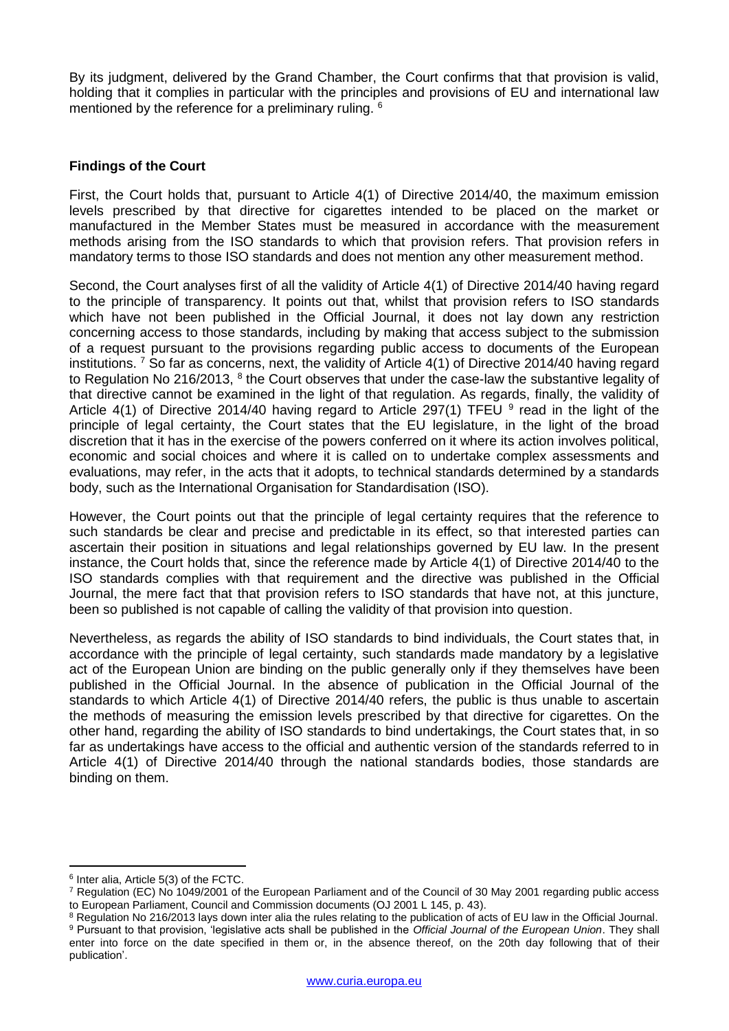By its judgment, delivered by the Grand Chamber, the Court confirms that that provision is valid, holding that it complies in particular with the principles and provisions of EU and international law mentioned by the reference for a preliminary ruling. <sup>6</sup>

## **Findings of the Court**

First, the Court holds that, pursuant to Article 4(1) of Directive 2014/40, the maximum emission levels prescribed by that directive for cigarettes intended to be placed on the market or manufactured in the Member States must be measured in accordance with the measurement methods arising from the ISO standards to which that provision refers. That provision refers in mandatory terms to those ISO standards and does not mention any other measurement method.

Second, the Court analyses first of all the validity of Article 4(1) of Directive 2014/40 having regard to the principle of transparency. It points out that, whilst that provision refers to ISO standards which have not been published in the Official Journal, it does not lay down any restriction concerning access to those standards, including by making that access subject to the submission of a request pursuant to the provisions regarding public access to documents of the European institutions.<sup>7</sup> So far as concerns, next, the validity of Article 4(1) of Directive 2014/40 having regard to Regulation No 216/2013,  $8$  the Court observes that under the case-law the substantive legality of that directive cannot be examined in the light of that regulation. As regards, finally, the validity of Article 4(1) of Directive 2014/40 having regard to Article 297(1) TFEU  $9$  read in the light of the principle of legal certainty, the Court states that the EU legislature, in the light of the broad discretion that it has in the exercise of the powers conferred on it where its action involves political, economic and social choices and where it is called on to undertake complex assessments and evaluations, may refer, in the acts that it adopts, to technical standards determined by a standards body, such as the International Organisation for Standardisation (ISO).

However, the Court points out that the principle of legal certainty requires that the reference to such standards be clear and precise and predictable in its effect, so that interested parties can ascertain their position in situations and legal relationships governed by EU law. In the present instance, the Court holds that, since the reference made by Article 4(1) of Directive 2014/40 to the ISO standards complies with that requirement and the directive was published in the Official Journal, the mere fact that that provision refers to ISO standards that have not, at this juncture, been so published is not capable of calling the validity of that provision into question.

Nevertheless, as regards the ability of ISO standards to bind individuals, the Court states that, in accordance with the principle of legal certainty, such standards made mandatory by a legislative act of the European Union are binding on the public generally only if they themselves have been published in the Official Journal. In the absence of publication in the Official Journal of the standards to which Article 4(1) of Directive 2014/40 refers, the public is thus unable to ascertain the methods of measuring the emission levels prescribed by that directive for cigarettes. On the other hand, regarding the ability of ISO standards to bind undertakings, the Court states that, in so far as undertakings have access to the official and authentic version of the standards referred to in Article 4(1) of Directive 2014/40 through the national standards bodies, those standards are binding on them.

<sup>1</sup> 6 Inter alia, Article 5(3) of the FCTC.

<sup>7</sup> Regulation (EC) No 1049/2001 of the European Parliament and of the Council of 30 May 2001 regarding public access to European Parliament, Council and Commission documents (OJ 2001 L 145, p. 43).

<sup>&</sup>lt;sup>8</sup> Regulation No 216/2013 lays down inter alia the rules relating to the publication of acts of EU law in the Official Journal. <sup>9</sup> Pursuant to that provision, 'legislative acts shall be published in the *Official Journal of the European Union*. They shall enter into force on the date specified in them or, in the absence thereof, on the 20th day following that of their publication'.